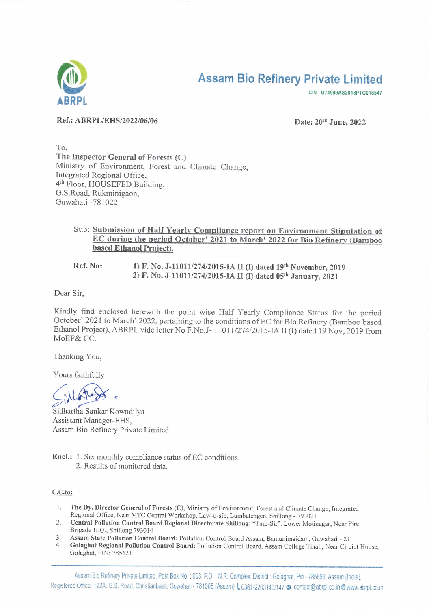

# **Assam Bio Refinery Private Limited**

CIN: U74999AS2018PTC018547

Ref.: ABRPL/EHS/2022/06/06

Date: 20th June, 2022

To. The Inspector General of Forests (C) Ministry of Environment, Forest and Climate Change, Integrated Regional Office, 4<sup>th</sup> Floor, HOUSEFED Building, G.S.Road, Rukminigaon, Guwahati -781022

## Sub: Submission of Half Yearly Compliance report on Environment Stipulation of EC during the period October' 2021 to March' 2022 for Bio Refinery (Bamboo based Ethanol Project).

Ref. No: 1) F. No. J-11011/274/2015-IA II (I) dated 19th November, 2019 2) F. No. J-11011/274/2015-IA II (I) dated 05th January, 2021

Dear Sir,

Kindly find enclosed herewith the point wise Half Yearly Compliance Status for the period October' 2021 to March' 2022, pertaining to the conditions of EC for Bio Refinery (Bamboo based Ethanol Project), ABRPL vide letter No F.No.J- 11011/274/2015-IA II (I) dated 19 Nov, 2019 from MoEF& CC.

Thanking You,

Yours faithfully

Sidhartha Sankar Kowndilya Assistant Manager-EHS, Assam Bio Refinery Private Limited.

**Encl.:** 1. Six monthly compliance status of EC conditions. 2. Results of monitored data

#### $C.C.to:$

- $\mathbf{1}$ . The Dy. Director General of Forests (C), Ministry of Environment, Forest and Climate Change, Integrated Regional Office, Near MTC Central Workshop, Law-u-sib, Lumbatengen, Shillong - 793021
- 2. Central Pollution Control Board Regional Directorate Shillong: "Tum-Sir". Lower Motinagar, Near Fire Brigade H.Q., Shillong 793014
- $3.$ Assam State Pollution Control Board: Pollution Control Board Assam, Bamunimaidam, Guwahati - 21
- Golaghat Regional Pollution Control Board: Pollution Control Board, Assam College Tinali, Near Circiut House,  $4.$ Golaghat, PIN: 785621.

Assam Bio Refinery Private Limited, Post Box No.: 003, P.O.: N.R. Complex, District: Golaghat, Pin - 785699, Assam (India). Registered Office: 122A. G.S. Road, Christianbasti, Guwahati - 781005 (Assam) (0361-2203140/147 @ contact@abrpl.co.in @ www.abrpl.co.in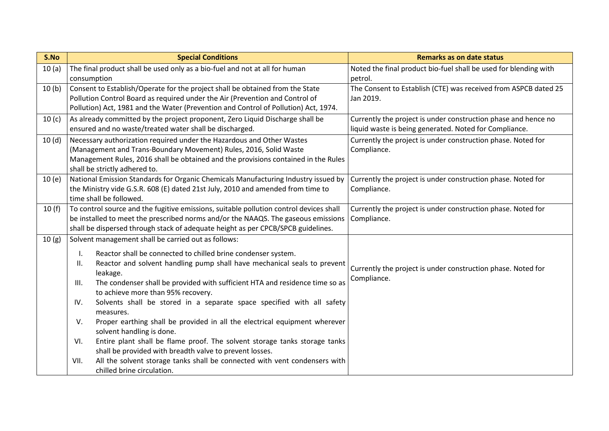| S.No              | <b>Special Conditions</b>                                                                                                                                                                                                                                                                                                                                                                                                                                                                                                                                                                                                                                                                                                                                                                                                                  | <b>Remarks as on date status</b>                                                                                         |  |  |
|-------------------|--------------------------------------------------------------------------------------------------------------------------------------------------------------------------------------------------------------------------------------------------------------------------------------------------------------------------------------------------------------------------------------------------------------------------------------------------------------------------------------------------------------------------------------------------------------------------------------------------------------------------------------------------------------------------------------------------------------------------------------------------------------------------------------------------------------------------------------------|--------------------------------------------------------------------------------------------------------------------------|--|--|
| 10(a)             | The final product shall be used only as a bio-fuel and not at all for human<br>consumption                                                                                                                                                                                                                                                                                                                                                                                                                                                                                                                                                                                                                                                                                                                                                 | Noted the final product bio-fuel shall be used for blending with<br>petrol.                                              |  |  |
| 10(b)             | Consent to Establish/Operate for the project shall be obtained from the State<br>Pollution Control Board as required under the Air (Prevention and Control of<br>Pollution) Act, 1981 and the Water (Prevention and Control of Pollution) Act, 1974.                                                                                                                                                                                                                                                                                                                                                                                                                                                                                                                                                                                       | The Consent to Establish (CTE) was received from ASPCB dated 25<br>Jan 2019.                                             |  |  |
| 10 <sub>(c)</sub> | As already committed by the project proponent, Zero Liquid Discharge shall be<br>ensured and no waste/treated water shall be discharged.                                                                                                                                                                                                                                                                                                                                                                                                                                                                                                                                                                                                                                                                                                   | Currently the project is under construction phase and hence no<br>liquid waste is being generated. Noted for Compliance. |  |  |
| 10(d)             | Necessary authorization required under the Hazardous and Other Wastes<br>(Management and Trans-Boundary Movement) Rules, 2016, Solid Waste<br>Management Rules, 2016 shall be obtained and the provisions contained in the Rules<br>shall be strictly adhered to.                                                                                                                                                                                                                                                                                                                                                                                                                                                                                                                                                                          | Currently the project is under construction phase. Noted for<br>Compliance.                                              |  |  |
| 10(e)             | National Emission Standards for Organic Chemicals Manufacturing Industry issued by<br>the Ministry vide G.S.R. 608 (E) dated 21st July, 2010 and amended from time to<br>time shall be followed.                                                                                                                                                                                                                                                                                                                                                                                                                                                                                                                                                                                                                                           | Currently the project is under construction phase. Noted for<br>Compliance.                                              |  |  |
| 10(f)             | To control source and the fugitive emissions, suitable pollution control devices shall<br>be installed to meet the prescribed norms and/or the NAAQS. The gaseous emissions<br>shall be dispersed through stack of adequate height as per CPCB/SPCB guidelines.                                                                                                                                                                                                                                                                                                                                                                                                                                                                                                                                                                            | Currently the project is under construction phase. Noted for<br>Compliance.                                              |  |  |
| 10(g)             | Solvent management shall be carried out as follows:<br>Reactor shall be connected to chilled brine condenser system.<br>I.<br>Reactor and solvent handling pump shall have mechanical seals to prevent<br>II.<br>leakage.<br>The condenser shall be provided with sufficient HTA and residence time so as<br>III.<br>to achieve more than 95% recovery.<br>Solvents shall be stored in a separate space specified with all safety<br>IV.<br>measures.<br>Proper earthing shall be provided in all the electrical equipment wherever<br>V.<br>solvent handling is done.<br>Entire plant shall be flame proof. The solvent storage tanks storage tanks<br>VI.<br>shall be provided with breadth valve to prevent losses.<br>All the solvent storage tanks shall be connected with vent condensers with<br>VII.<br>chilled brine circulation. | Currently the project is under construction phase. Noted for<br>Compliance.                                              |  |  |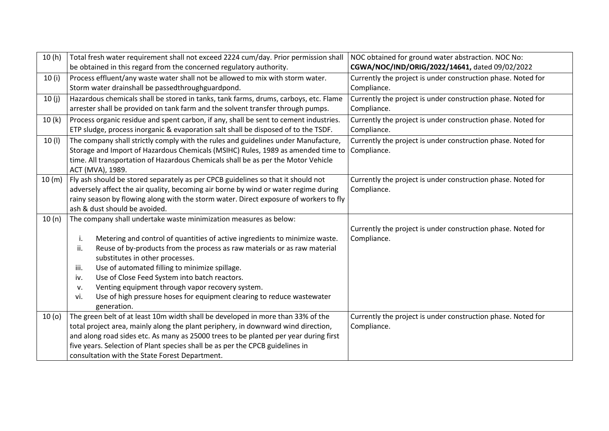| 10(h)  | Total fresh water requirement shall not exceed 2224 cum/day. Prior permission shall                     | NOC obtained for ground water abstraction. NOC No:           |  |
|--------|---------------------------------------------------------------------------------------------------------|--------------------------------------------------------------|--|
|        | be obtained in this regard from the concerned regulatory authority.                                     | CGWA/NOC/IND/ORIG/2022/14641, dated 09/02/2022               |  |
| 10(i)  | Process effluent/any waste water shall not be allowed to mix with storm water.                          | Currently the project is under construction phase. Noted for |  |
|        | Storm water drainshall be passedthroughguardpond.                                                       | Compliance.                                                  |  |
| 10(j)  | Hazardous chemicals shall be stored in tanks, tank farms, drums, carboys, etc. Flame                    | Currently the project is under construction phase. Noted for |  |
|        | arrester shall be provided on tank farm and the solvent transfer through pumps.                         | Compliance.                                                  |  |
| 10(k)  | Process organic residue and spent carbon, if any, shall be sent to cement industries.                   | Currently the project is under construction phase. Noted for |  |
|        | ETP sludge, process inorganic & evaporation salt shall be disposed of to the TSDF.                      | Compliance.                                                  |  |
| 10(1)  | The company shall strictly comply with the rules and guidelines under Manufacture,                      | Currently the project is under construction phase. Noted for |  |
|        | Storage and Import of Hazardous Chemicals (MSIHC) Rules, 1989 as amended time to                        | Compliance.                                                  |  |
|        | time. All transportation of Hazardous Chemicals shall be as per the Motor Vehicle                       |                                                              |  |
|        | ACT (MVA), 1989.                                                                                        |                                                              |  |
| 10 (m) | Fly ash should be stored separately as per CPCB guidelines so that it should not                        | Currently the project is under construction phase. Noted for |  |
|        | adversely affect the air quality, becoming air borne by wind or water regime during                     | Compliance.                                                  |  |
|        | rainy season by flowing along with the storm water. Direct exposure of workers to fly                   |                                                              |  |
|        | ash & dust should be avoided.                                                                           |                                                              |  |
| 10(n)  | The company shall undertake waste minimization measures as below:                                       |                                                              |  |
|        |                                                                                                         | Currently the project is under construction phase. Noted for |  |
|        | Metering and control of quantities of active ingredients to minimize waste.<br>i.                       | Compliance.                                                  |  |
|        | Reuse of by-products from the process as raw materials or as raw material<br>ii.                        |                                                              |  |
|        | substitutes in other processes.                                                                         |                                                              |  |
|        | Use of automated filling to minimize spillage.<br>iii.<br>Use of Close Feed System into batch reactors. |                                                              |  |
|        | iv.<br>Venting equipment through vapor recovery system.<br>v.                                           |                                                              |  |
|        | Use of high pressure hoses for equipment clearing to reduce wastewater<br>vi.                           |                                                              |  |
|        | generation.                                                                                             |                                                              |  |
| 10(0)  | The green belt of at least 10m width shall be developed in more than 33% of the                         | Currently the project is under construction phase. Noted for |  |
|        | total project area, mainly along the plant periphery, in downward wind direction,                       | Compliance.                                                  |  |
|        | and along road sides etc. As many as 25000 trees to be planted per year during first                    |                                                              |  |
|        | five years. Selection of Plant species shall be as per the CPCB guidelines in                           |                                                              |  |
|        | consultation with the State Forest Department.                                                          |                                                              |  |
|        |                                                                                                         |                                                              |  |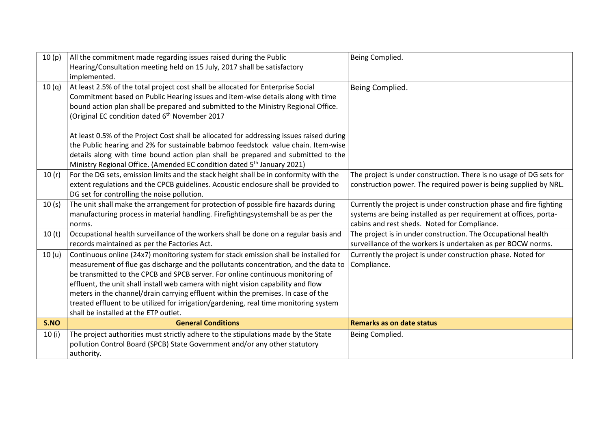| 10(p)             | All the commitment made regarding issues raised during the Public<br>Hearing/Consultation meeting held on 15 July, 2017 shall be satisfactory                                                                                                                                                                                                                                                                                                                                                                                                                              | Being Complied.                                                                                                                                                                          |
|-------------------|----------------------------------------------------------------------------------------------------------------------------------------------------------------------------------------------------------------------------------------------------------------------------------------------------------------------------------------------------------------------------------------------------------------------------------------------------------------------------------------------------------------------------------------------------------------------------|------------------------------------------------------------------------------------------------------------------------------------------------------------------------------------------|
| 10(q)             | implemented.<br>At least 2.5% of the total project cost shall be allocated for Enterprise Social<br>Commitment based on Public Hearing issues and item-wise details along with time<br>bound action plan shall be prepared and submitted to the Ministry Regional Office.<br>(Original EC condition dated 6 <sup>th</sup> November 2017<br>At least 0.5% of the Project Cost shall be allocated for addressing issues raised during                                                                                                                                        | Being Complied.                                                                                                                                                                          |
|                   | the Public hearing and 2% for sustainable babmoo feedstock value chain. Item-wise<br>details along with time bound action plan shall be prepared and submitted to the<br>Ministry Regional Office. (Amended EC condition dated 5 <sup>th</sup> January 2021)                                                                                                                                                                                                                                                                                                               |                                                                                                                                                                                          |
| 10(r)             | For the DG sets, emission limits and the stack height shall be in conformity with the<br>extent regulations and the CPCB guidelines. Acoustic enclosure shall be provided to<br>DG set for controlling the noise pollution.                                                                                                                                                                                                                                                                                                                                                | The project is under construction. There is no usage of DG sets for<br>construction power. The required power is being supplied by NRL.                                                  |
| 10(s)             | The unit shall make the arrangement for protection of possible fire hazards during<br>manufacturing process in material handling. Firefightingsystemshall be as per the<br>norms.                                                                                                                                                                                                                                                                                                                                                                                          | Currently the project is under construction phase and fire fighting<br>systems are being installed as per requirement at offices, porta-<br>cabins and rest sheds. Noted for Compliance. |
| 10(t)             | Occupational health surveillance of the workers shall be done on a regular basis and<br>records maintained as per the Factories Act.                                                                                                                                                                                                                                                                                                                                                                                                                                       | The project is in under construction. The Occupational health<br>surveillance of the workers is undertaken as per BOCW norms.                                                            |
| 10 <sub>(u)</sub> | Continuous online (24x7) monitoring system for stack emission shall be installed for<br>measurement of flue gas discharge and the pollutants concentration, and the data to<br>be transmitted to the CPCB and SPCB server. For online continuous monitoring of<br>effluent, the unit shall install web camera with night vision capability and flow<br>meters in the channel/drain carrying effluent within the premises. In case of the<br>treated effluent to be utilized for irrigation/gardening, real time monitoring system<br>shall be installed at the ETP outlet. | Currently the project is under construction phase. Noted for<br>Compliance.                                                                                                              |
| S.NO              | <b>General Conditions</b>                                                                                                                                                                                                                                                                                                                                                                                                                                                                                                                                                  | <b>Remarks as on date status</b>                                                                                                                                                         |
| 10(i)             | The project authorities must strictly adhere to the stipulations made by the State<br>pollution Control Board (SPCB) State Government and/or any other statutory<br>authority.                                                                                                                                                                                                                                                                                                                                                                                             | Being Complied.                                                                                                                                                                          |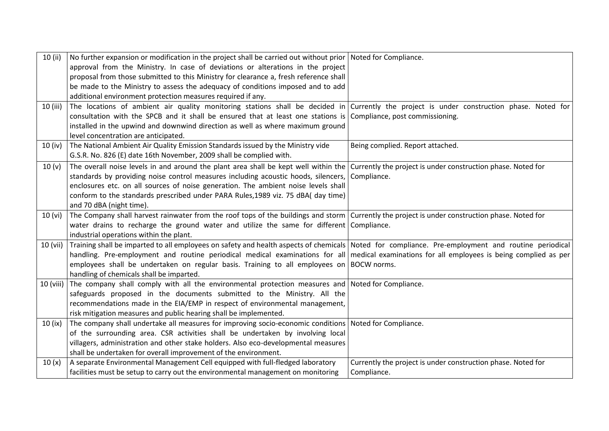| 10 (ii)   | No further expansion or modification in the project shall be carried out without prior   Noted for Compliance.                                    |                                                              |
|-----------|---------------------------------------------------------------------------------------------------------------------------------------------------|--------------------------------------------------------------|
|           | approval from the Ministry. In case of deviations or alterations in the project                                                                   |                                                              |
|           | proposal from those submitted to this Ministry for clearance a, fresh reference shall                                                             |                                                              |
|           | be made to the Ministry to assess the adequacy of conditions imposed and to add                                                                   |                                                              |
|           | additional environment protection measures required if any.                                                                                       |                                                              |
| 10 (iii)  | The locations of ambient air quality monitoring stations shall be decided in Currently the project is under construction phase. Noted for         |                                                              |
|           | consultation with the SPCB and it shall be ensured that at least one stations is Compliance, post commissioning.                                  |                                                              |
|           | installed in the upwind and downwind direction as well as where maximum ground                                                                    |                                                              |
|           | level concentration are anticipated.                                                                                                              |                                                              |
| 10 (iv)   | The National Ambient Air Quality Emission Standards issued by the Ministry vide                                                                   | Being complied. Report attached.                             |
|           | G.S.R. No. 826 (E) date 16th November, 2009 shall be complied with.                                                                               |                                                              |
| 10(y)     | The overall noise levels in and around the plant area shall be kept well within the Currently the project is under construction phase. Noted for  |                                                              |
|           | standards by providing noise control measures including acoustic hoods, silencers,                                                                | Compliance.                                                  |
|           | enclosures etc. on all sources of noise generation. The ambient noise levels shall                                                                |                                                              |
|           | conform to the standards prescribed under PARA Rules, 1989 viz. 75 dBA( day time)                                                                 |                                                              |
|           | and 70 dBA (night time).                                                                                                                          |                                                              |
| 10 (vi)   | The Company shall harvest rainwater from the roof tops of the buildings and storm Currently the project is under construction phase. Noted for    |                                                              |
|           | water drains to recharge the ground water and utilize the same for different Compliance.                                                          |                                                              |
|           | industrial operations within the plant.                                                                                                           |                                                              |
| 10 (vii)  | Training shall be imparted to all employees on safety and health aspects of chemicals Noted for compliance. Pre-employment and routine periodical |                                                              |
|           | handling. Pre-employment and routine periodical medical examinations for all medical examinations for all employees is being complied as per      |                                                              |
|           | employees shall be undertaken on regular basis. Training to all employees on BOCW norms.                                                          |                                                              |
|           | handling of chemicals shall be imparted.                                                                                                          |                                                              |
| 10 (viii) | The company shall comply with all the environmental protection measures and Noted for Compliance.                                                 |                                                              |
|           | safeguards proposed in the documents submitted to the Ministry. All the                                                                           |                                                              |
|           | recommendations made in the EIA/EMP in respect of environmental management,                                                                       |                                                              |
|           | risk mitigation measures and public hearing shall be implemented.                                                                                 |                                                              |
| 10 (ix)   | The company shall undertake all measures for improving socio-economic conditions   Noted for Compliance.                                          |                                                              |
|           | of the surrounding area. CSR activities shall be undertaken by involving local                                                                    |                                                              |
|           | villagers, administration and other stake holders. Also eco-developmental measures                                                                |                                                              |
|           | shall be undertaken for overall improvement of the environment.                                                                                   |                                                              |
| 10(x)     | A separate Environmental Management Cell equipped with full-fledged laboratory                                                                    | Currently the project is under construction phase. Noted for |
|           | facilities must be setup to carry out the environmental management on monitoring                                                                  | Compliance.                                                  |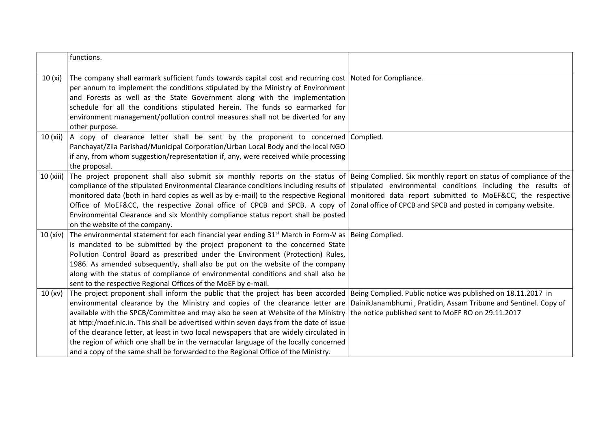|           | functions.                                                                                                                                                                                                                                                                                                                                                                                                                                                                                                                                                                                                                                                                                                                                                                                                   |  |
|-----------|--------------------------------------------------------------------------------------------------------------------------------------------------------------------------------------------------------------------------------------------------------------------------------------------------------------------------------------------------------------------------------------------------------------------------------------------------------------------------------------------------------------------------------------------------------------------------------------------------------------------------------------------------------------------------------------------------------------------------------------------------------------------------------------------------------------|--|
| 10(x)     | The company shall earmark sufficient funds towards capital cost and recurring cost Noted for Compliance.<br>per annum to implement the conditions stipulated by the Ministry of Environment<br>and Forests as well as the State Government along with the implementation<br>schedule for all the conditions stipulated herein. The funds so earmarked for<br>environment management/pollution control measures shall not be diverted for any<br>other purpose.                                                                                                                                                                                                                                                                                                                                               |  |
| 10 (xii)  | A copy of clearance letter shall be sent by the proponent to concerned Complied.<br>Panchayat/Zila Parishad/Municipal Corporation/Urban Local Body and the local NGO<br>if any, from whom suggestion/representation if, any, were received while processing<br>the proposal.                                                                                                                                                                                                                                                                                                                                                                                                                                                                                                                                 |  |
| 10 (xiii) | The project proponent shall also submit six monthly reports on the status of Being Complied. Six monthly report on status of compliance of the<br>compliance of the stipulated Environmental Clearance conditions including results of stipulated environmental conditions including the results of<br>monitored data (both in hard copies as well as by e-mail) to the respective Regional   monitored data report submitted to MoEF&CC, the respective<br>Office of MoEF&CC, the respective Zonal office of CPCB and SPCB. A copy of Zonal office of CPCB and SPCB and posted in company website.<br>Environmental Clearance and six Monthly compliance status report shall be posted<br>on the website of the company.                                                                                    |  |
| 10 (xiv)  | The environmental statement for each financial year ending $31^{st}$ March in Form-V as   Being Complied.<br>is mandated to be submitted by the project proponent to the concerned State<br>Pollution Control Board as prescribed under the Environment (Protection) Rules,<br>1986. As amended subsequently, shall also be put on the website of the company<br>along with the status of compliance of environmental conditions and shall also be<br>sent to the respective Regional Offices of the MoEF by e-mail.                                                                                                                                                                                                                                                                                         |  |
| 10(xv)    | The project proponent shall inform the public that the project has been accorded Being Complied. Public notice was published on 18.11.2017 in<br>environmental clearance by the Ministry and copies of the clearance letter are DainikJanambhumi, Pratidin, Assam Tribune and Sentinel. Copy of<br>available with the SPCB/Committee and may also be seen at Website of the Ministry   the notice published sent to MoEF RO on 29.11.2017<br>at http:/moef.nic.in. This shall be advertised within seven days from the date of issue<br>of the clearance letter, at least in two local newspapers that are widely circulated in<br>the region of which one shall be in the vernacular language of the locally concerned<br>and a copy of the same shall be forwarded to the Regional Office of the Ministry. |  |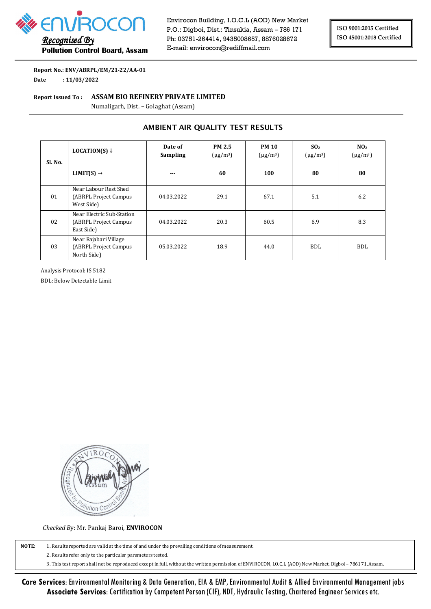

 *Recognised By*  **Pollution Control Board, Assam**  Envirocon Building, I.O.C.L (AOD) New Market P.O.: Digboi, Dist.: Tinsukia, Assam – 786 171 Ph: 03751-264414, 9435008657, 8876028672 E-mail: envirocon@rediffmail.com

**Report No.: ENV/ABRPL/EM/21-22/AA-01 Date : 11/03/2022** 

**Report Issued To : ASSAM BIO REFINERY PRIVATE LIMITED** 

Numaligarh, Dist. – Golaghat (Assam)

## **AMBIENT AIR QUALITY TEST RESULTS**

| Sl. No. | LOCATION(S) $\downarrow$                                          | Date of<br><b>Sampling</b> | <b>PM 2.5</b><br>$(\mu$ g/m <sup>3</sup> ) | <b>PM 10</b><br>$(\mu$ g/m <sup>3</sup> ) | SO <sub>2</sub><br>$(\mu$ g/m <sup>3</sup> ) | NO <sub>2</sub><br>$(\mu$ g/m <sup>3</sup> ) |
|---------|-------------------------------------------------------------------|----------------------------|--------------------------------------------|-------------------------------------------|----------------------------------------------|----------------------------------------------|
|         | LIMIT(S) $\rightarrow$                                            | $- - -$                    | 60                                         | 100                                       | 80                                           | 80                                           |
| 01      | Near Labour Rest Shed<br>(ABRPL Project Campus)<br>West Side)     | 04.03.2022                 | 29.1                                       | 67.1                                      | 5.1                                          | 6.2                                          |
| 02      | Near Electric Sub-Station<br>(ABRPL Project Campus)<br>East Side) | 04.03.2022                 | 20.3                                       | 60.5                                      | 6.9                                          | 8.3                                          |
| 03      | Near Rajabari Village<br>(ABRPL Project Campus)<br>North Side)    | 05.03.2022                 | 18.9                                       | 44.0                                      | BDL.                                         | <b>BDL</b>                                   |

Analysis Protocol: IS 5182

BDL: Below Detectable Limit

Ution Co

*Checked B*y: Mr. Pankaj Baroi, **ENVIROCON**

**NOTE:** 1. Results reported are valid at the time of and under the prevailing conditions of measurement.

2. Results refer only to the particular parameters tested.

3. This test report shall not be reproduced except in full, without the written permission of ENVIROCON, I.O.C.L (AOD) New Market, Digboi – 786171, Assam.

**Core Services**: Environmental Monitoring & Data Generation, EIA & EMP, Environmental Audit & Allied Environmental Management jobs **Associate Services**: Certification by Competent Person (CIF), NDT, Hydraulic Testing, Chartered Engineer Services etc.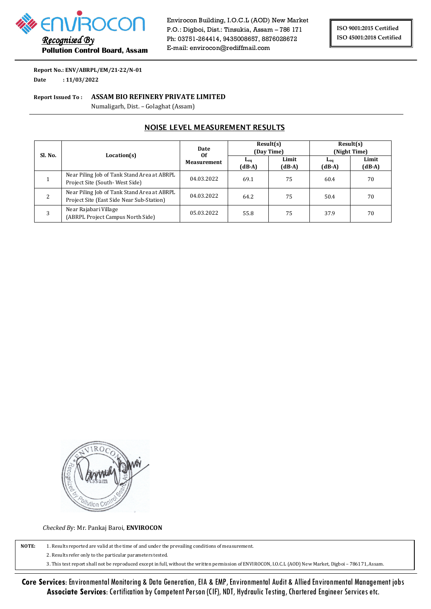

 *Recognised By*  **Pollution Control Board, Assam**  Envirocon Building, I.O.C.L (AOD) New Market P.O.: Digboi, Dist.: Tinsukia, Assam – 786 171 Ph: 03751-264414, 9435008657, 8876028672 E-mail: envirocon@rediffmail.com

**Report No.: ENV/ABRPL/EM/21-22/N-01 Date : 11/03/2022** 

#### **Report Issued To : ASSAM BIO REFINERY PRIVATE LIMITED**

Numaligarh, Dist. – Golaghat (Assam)

## **NOISE LEVEL MEASUREMENT RESULTS**

| Sl. No. | Location(s)                                                                              | Date<br>0f<br><b>Measurement</b> | Result(s)<br>(Day Time)                |                   | Result(s)<br>(Night Time)              |                   |
|---------|------------------------------------------------------------------------------------------|----------------------------------|----------------------------------------|-------------------|----------------------------------------|-------------------|
|         |                                                                                          |                                  | $\mathbf{L}_{\mathbf{eq}}$<br>$(dB-A)$ | Limit<br>$(dB-A)$ | $\mathbf{L}_{\mathbf{eq}}$<br>$(dB-A)$ | Limit<br>$(dB-A)$ |
|         | Near Piling Job of Tank Stand Area at ABRPL<br>Project Site (South-West Side)            | 04.03.2022                       | 69.1                                   | 75                | 60.4                                   | 70                |
|         | Near Piling Job of Tank Stand Area at ABRPL<br>Project Site (East Side Near Sub-Station) | 04.03.2022                       | 64.2                                   | 75                | 50.4                                   | 70                |
| 3       | Near Rajabari Village<br>(ABRPL Project Campus North Side)                               | 05.03.2022                       | 55.8                                   | 75                | 37.9                                   | 70                |



*Checked B*y: Mr. Pankaj Baroi, **ENVIROCON**

**NOTE:** 1. Results reported are valid at the time of and under the prevailing conditions of measurement.

2. Results refer only to the particular parameters tested.

3. This test report shall not be reproduced except in full, without the written permission of ENVIROCON, I.O.C.L (AOD) New Market, Digboi – 786171, Assam.

**Core Services**: Environmental Monitoring & Data Generation, EIA & EMP, Environmental Audit & Allied Environmental Management jobs **Associate Services**: Certification by Competent Person (CIF), NDT, Hydraulic Testing, Chartered Engineer Services etc.